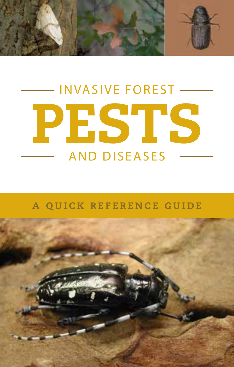

# INVASIVE FOREST — PESTS AND DISEASES

# A QUICK REFERENCE GUIDE

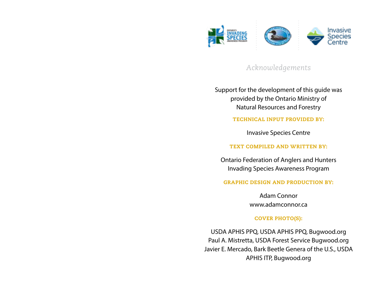

*Acknowledgements*

Support for the development of this guide was provided by the Ontario Ministry of Natural Resources and Forestry

TECHNICAL INPUT PROVIDED BY:

Invasive Species Centre

TEXT COMPILED AND WRITTEN BY:

Ontario Federation of Anglers and Hunters Invading Species Awareness Program

GRAPHIC DESIGN AND PRODUCTION BY:

Adam Connor www.adamconnor.ca

### COVER PHOTO(S):

USDA APHIS PPQ, USDA APHIS PPQ, Bugwood.org Paul A. Mistretta, USDA Forest Service Bugwood.org Javier E. Mercado, Bark Beetle Genera of the U.S., USDA APHIS ITP, Bugwood.org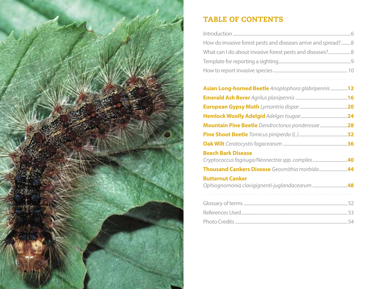

# TABLE OF CONTENTS

| How do invasive forest pests and diseases arrive and spread?8 |
|---------------------------------------------------------------|
|                                                               |
|                                                               |
|                                                               |
|                                                               |
| Asian Long-horned Beetle Anoplophora glabripennis12           |
|                                                               |
|                                                               |
|                                                               |
| Mountain Pine Beetle Dendroctonus ponderosae 28               |
|                                                               |
|                                                               |
| <b>Beech Bark Disease</b>                                     |
|                                                               |
|                                                               |
| <b>Butternut Canker</b>                                       |
|                                                               |
|                                                               |
|                                                               |
|                                                               |
|                                                               |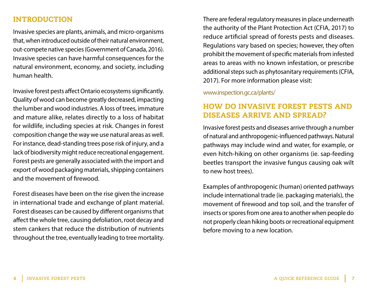# INTRODUCTION

Invasive species are plants, animals, and micro-organisms that, when introduced outside of their natural environment, out-compete native species (Government of Canada, 2016). Invasive species can have harmful consequences for the natural environment, economy, and society, including human health.

Invasive forest pests affect Ontario ecosystems significantly. Quality of wood can become greatly decreased, impacting the lumber and wood industries. A loss of trees, immature and mature alike, relates directly to a loss of habitat for wildlife, including species at risk. Changes in forest composition change the way we use natural areas as well. For instance, dead-standing trees pose risk of injury, and a lack of biodiversity might reduce recreational engagement. Forest pests are generally associated with the import and export of wood packaging materials, shipping containers and the movement of firewood.

Forest diseases have been on the rise given the increase in international trade and exchange of plant material. Forest diseases can be caused by different organisms that affect the whole tree, causing defoliation, root decay and stem cankers that reduce the distribution of nutrients throughout the tree, eventually leading to tree mortality. There are federal regulatory measures in place underneath the authority of the Plant Protection Act (CFIA, 2017) to reduce artificial spread of forests pests and diseases. Regulations vary based on species; however, they often prohibit the movement of specific materials from infested areas to areas with no known infestation, or prescribe additional steps such as phytosanitary requirements (CFIA, 2017). For more information please visit:

### www.inspection.gc.ca/plants/

# HOW DO INVASIVE FOREST PESTS AND DISEASES ARRIVE AND SPREAD?

Invasive forest pests and diseases arrive through a number of natural and anthropogenic-influenced pathways. Natural pathways may include wind and water, for example, or even hitch-hiking on other organisms (ie. sap-feeding beetles transport the invasive fungus causing oak wilt to new host trees).

Examples of anthropogenic (human) oriented pathways include international trade (ie. packaging materials), the movement of firewood and top soil, and the transfer of insects or spores from one area to another when people do not properly clean hiking boots or recreational equipment before moving to a new location.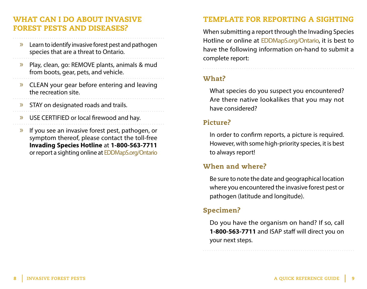# WHAT CAN I DO ABOUT INVASIVE FOREST PESTS AND DISEASES?

- » Learn to identify invasive forest pest and pathogen species that are a threat to Ontario.
- » Play, clean, go: REMOVE plants, animals & mud from boots, gear, pets, and vehicle.
- » CLEAN your gear before entering and leaving the recreation site.
- » STAY on designated roads and trails.
- » USE CERTIFIED or local firewood and hay.
- » If you see an invasive forest pest, pathogen, or symptom thereof, please contact the toll-free **Invading Species Hotline** at **1-800-563-7711** or report a sighting online at EDDMapS.org/Ontario

# TEMPLATE FOR REPORTING A SIGHTING

When submitting a report through the Invading Species Hotline or online at EDDMapS.org/Ontario, it is best to have the following information on-hand to submit a complete report:

# What?

What species do you suspect you encountered? Are there native lookalikes that you may not have considered?

# Picture?

In order to confirm reports, a picture is required. However, with some high-priority species, it is best to always report!

# When and where?

Be sure to note the date and geographical location where you encountered the invasive forest pest or pathogen (latitude and longitude).

# Specimen?

Do you have the organism on hand? If so, call **1-800-563-7711** and ISAP staff will direct you on your next steps.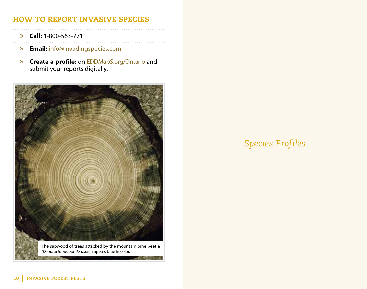# HOW TO REPORT INVASIVE SPECIES

- » **Call:** 1-800-563-7711
	-
- » **Email:** info@invadingspecies.com
- » **Create a profile:** on EDDMapS.org/Ontario and submit your reports digitally.



# *Species Profiles*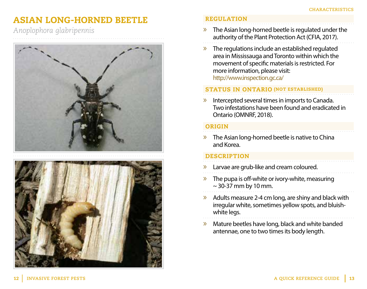# ASIAN LONG-HORNED BEETLE

*Anoplophora glabripennis*





## REGULATION

- » The Asian long-horned beetle is regulated under the authority of the Plant Protection Act (CFIA, 2017).
- » The regulations include an established regulated area in Mississauga and Toronto within which the movement of specific materials is restricted. For more information, please visit: http://www.inspection.gc.ca/

# STATUS IN ONTARIO (NOT ESTABLISHED)

» Intercepted several times in imports to Canada. Two infestations have been found and eradicated in Ontario (OMNRF, 2018).

### ORIGIN

» The Asian long-horned beetle is native to China and Korea.

- » Larvae are grub-like and cream coloured.
- » The pupa is off-white or ivory-white, measuring  $\sim$  30-37 mm by 10 mm.
- $\gg$  Adults measure 2-4 cm long, are shiny and black with irregular white, sometimes yellow spots, and bluishwhite legs.
- » Mature beetles have long, black and white banded antennae, one to two times its body length.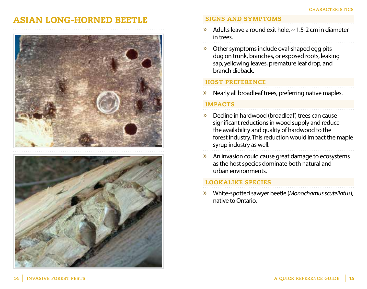# ASIAN LONG-HORNED BEETLE





### SIGNS AND SYMPTOMS

- $\lambda$  Adults leave a round exit hole,  $\sim$  1.5-2 cm in diameter in trees.
	-
- » Other symptoms include oval-shaped egg pits dug on trunk, branches, or exposed roots, leaking sap, yellowing leaves, premature leaf drop, and branch dieback.

### HOST PREFERENCE

» Nearly all broadleaf trees, preferring native maples.

### IMPACTS

- » Decline in hardwood (broadleaf) trees can cause significant reductions in wood supply and reduce the availability and quality of hardwood to the forest industry. This reduction would impact the maple syrup industry as well.
- » An invasion could cause great damage to ecosystems as the host species dominate both natural and urban environments.

# LOOKALIKE SPECIES

» White-spotted sawyer beetle (*Monochamus scutellatus*), native to Ontario.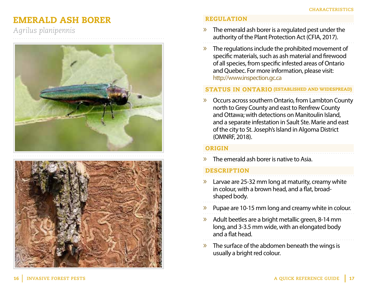# EMERALD ASH BORER

*Agrilus planipennis*





# REGULATION

- $\gg$  The emerald ash borer is a regulated pest under the authority of the Plant Protection Act (CFIA, 2017).
- » The regulations include the prohibited movement of specific materials, such as ash material and firewood of all species, from specific infested areas of Ontario and Quebec. For more information, please visit: http://www.inspection.gc.ca

### STATUS IN ONTARIO (ESTABLISHED AND WIDESPREAD)

» Occurs across southern Ontario, from Lambton County north to Grey County and east to Renfrew County and Ottawa; with detections on Manitoulin Island, and a separate infestation in Sault Ste. Marie and east of the city to St. Joseph's Island in Algoma District (OMNRF, 2018).

### **ORIGIN**

» The emerald ash borer is native to Asia.

- » Larvae are 25-32 mm long at maturity, creamy white in colour, with a brown head, and a flat, broadshaped body.
- » Pupae are 10-15 mm long and creamy white in colour.
- » Adult beetles are a bright metallic green, 8-14 mm long, and 3-3.5 mm wide, with an elongated body and a flat head.
- » The surface of the abdomen beneath the wings is usually a bright red colour.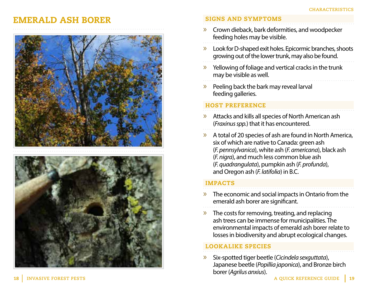# EMERALD ASH BORER





## SIGNS AND SYMPTOMS

- » Crown dieback, bark deformities, and woodpecker feeding holes may be visible.
- » Look for D-shaped exit holes. Epicormic branches, shoots growing out of the lower trunk, may also be found.
- » Yellowing of foliage and vertical cracks in the trunk may be visible as well.
- » Peeling back the bark may reveal larval feeding galleries.

# HOST PREFERENCE

- » Attacks and kills all species of North American ash (*Fraxinus spp.*) that it has encountered.
- » A total of 20 species of ash are found in North America, six of which are native to Canada: green ash (*F. pennsylvanica*), white ash (*F. americana*), black ash (*F. nigra*), and much less common blue ash (*F. quadrangulata*), pumpkin ash (*F. profunda*), and Oregon ash (*F. latifolia*) in B.C.

# IMPACTS

- » The economic and social impacts in Ontario from the emerald ash borer are significant.
- $\gg$  The costs for removing, treating, and replacing ash trees can be immense for municipalities. The environmental impacts of emerald ash borer relate to losses in biodiversity and abrupt ecological changes.

# LOOKALIKE SPECIES

» Six-spotted tiger beetle (*Cicindela sexguttata*), Japanese beetle (*Popillia japonica*), and Bronze birch borer (*Agrilus anxius*).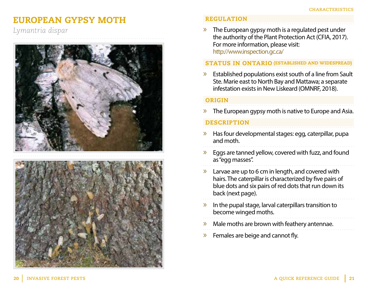# EUROPEAN GYPSY MOTH

*Lymantria dispar*





# REGULATION

» The European gypsy moth is a regulated pest under the authority of the Plant Protection Act (CFIA, 2017). For more information, please visit: http://www.inspection.gc.ca/

### STATUS IN ONTARIO (ESTABLISHED AND WIDESPREAD)

» Established populations exist south of a line from Sault Ste. Marie east to North Bay and Mattawa; a separate infestation exists in New Liskeard (OMNRF, 2018).

### ORIGIN

 $\lambda$  The European gypsy moth is native to Europe and Asia.

- » Has four developmental stages: egg, caterpillar, pupa and moth.
- » Eggs are tanned yellow, covered with fuzz, and found as "egg masses".
- $\lambda$  Larvae are up to 6 cm in length, and covered with hairs. The caterpillar is characterized by five pairs of blue dots and six pairs of red dots that run down its back (next page).
- » In the pupal stage, larval caterpillars transition to become winged moths.
- » Male moths are brown with feathery antennae.
- » Females are beige and cannot fly.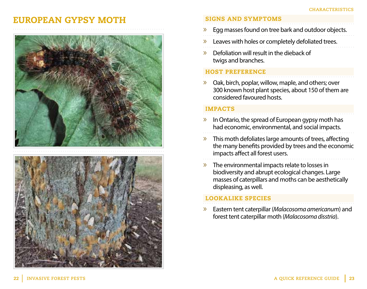# EUROPEAN GYPSY MOTH





### SIGNS AND SYMPTOMS

- » Egg masses found on tree bark and outdoor objects.
- » Leaves with holes or completely defoliated trees.
- » Defoliation will result in the dieback of twigs and branches.

### HOST PREFERENCE

» Oak, birch, poplar, willow, maple, and others; over 300 known host plant species, about 150 of them are considered favoured hosts.

# IMPACTS

- » In Ontario, the spread of European gypsy moth has had economic, environmental, and social impacts.
- » This moth defoliates large amounts of trees, affecting the many benefits provided by trees and the economic impacts affect all forest users.
- » The environmental impacts relate to losses in biodiversity and abrupt ecological changes. Large masses of caterpillars and moths can be aesthetically displeasing, as well.

# LOOKALIKE SPECIES

» Eastern tent caterpillar (*Malacosoma americanum*) and forest tent caterpillar moth (*Malacosoma disstria*).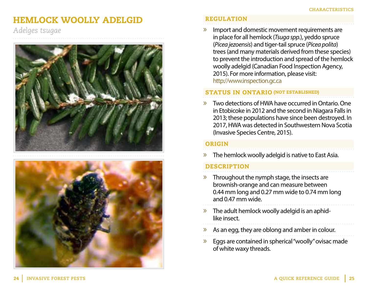# HEMLOCK WOOLLY ADELGID

*Adelges tsugae*





# REGULATION

» Import and domestic movement requirements are in place for all hemlock (*Tsuga spp.*), yeddo spruce (*Picea jezoensis*) and tiger-tail spruce (*Picea polita*) trees (and many materials derived from these species) to prevent the introduction and spread of the hemlock woolly adelgid (Canadian Food Inspection Agency, 2015). For more information, please visit: http://www.inspection.gc.ca

STATUS IN ONTARIO (NOT ESTABLISHED)

» Two detections of HWA have occurred in Ontario. One in Etobicoke in 2012 and the second in Niagara Falls in 2013; these populations have since been destroyed. In 2017, HWA was detected in Southwestern Nova Scotia (Invasive Species Centre, 2015).

### ORIGIN

 $\lambda$  The hemlock woolly adelgid is native to East Asia.

- » Throughout the nymph stage, the insects are brownish-orange and can measure between 0.44 mm long and 0.27 mm wide to 0.74 mm long and 0.47 mm wide.
- » The adult hemlock woolly adelgid is an aphidlike insect.
- » As an egg, they are oblong and amber in colour.
- » Eggs are contained in spherical "woolly" ovisac made of white waxy threads.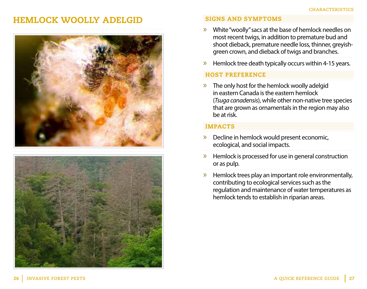# HEMLOCK WOOLLY ADELGID





# SIGNS AND SYMPTOMS

- » White "woolly" sacs at the base of hemlock needles on most recent twigs, in addition to premature bud and shoot dieback, premature needle loss, thinner, greyishgreen crown, and dieback of twigs and branches.
- » Hemlock tree death typically occurs within 4-15 years.

# HOST PREFERENCE

» The only host for the hemlock woolly adelgid in eastern Canada is the eastern hemlock (*Tsuga canadensis*), while other non-native tree species that are grown as ornamentals in the region may also be at risk.

- » Decline in hemlock would present economic, ecological, and social impacts.
- » Hemlock is processed for use in general construction or as pulp.
- $\triangleright$  Hemlock trees play an important role environmentally, contributing to ecological services such as the regulation and maintenance of water temperatures as hemlock tends to establish in riparian areas.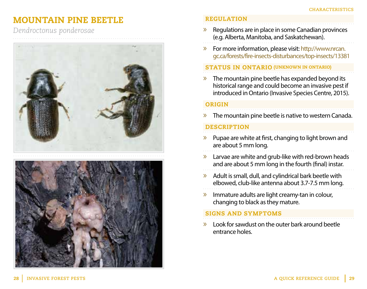# MOUNTAIN PINE BEETLE

*Dendroctonus ponderosae*





## REGULATION

- » Regulations are in place in some Canadian provinces (e.g. Alberta, Manitoba, and Saskatchewan).
- » For more information, please visit: http://www.nrcan. gc.ca/forests/fire-insects-disturbances/top-insects/13381

### STATUS IN ONTARIO (UNKNOWN IN ONTARIO)

» The mountain pine beetle has expanded beyond its historical range and could become an invasive pest if introduced in Ontario (Invasive Species Centre, 2015).

### ORIGIN

» The mountain pine beetle is native to western Canada.

# **DESCRIPTION**

- » Pupae are white at first, changing to light brown and are about 5 mm long.
- » Larvae are white and grub-like with red-brown heads and are about 5 mm long in the fourth (final) instar.
- » Adult is small, dull, and cylindrical bark beetle with elbowed, club-like antenna about 3.7-7.5 mm long.
- » Immature adults are light creamy-tan in colour, changing to black as they mature.

### SIGNS AND SYMPTOMS

» Look for sawdust on the outer bark around beetle entrance holes.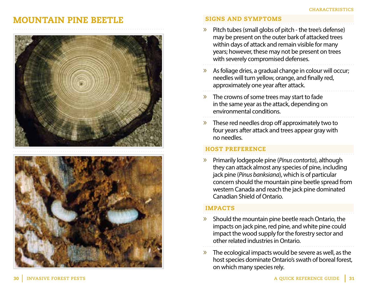# MOUNTAIN PINE BEETLE





# SIGNS AND SYMPTOMS

- » Pitch tubes (small globs of pitch the tree's defense) may be present on the outer bark of attacked trees within days of attack and remain visible for many years; however, these may not be present on trees with severely compromised defenses.
- As foliage dries, a gradual change in colour will occur; needles will turn yellow, orange, and finally red, approximately one year after attack.
- » The crowns of some trees may start to fade in the same year as the attack, depending on environmental conditions.
- » These red needles drop off approximately two to four years after attack and trees appear gray with no needles.

# HOST PREFERENCE

» Primarily lodgepole pine (*Pinus contorta*), although they can attack almost any species of pine, including jack pine (*Pinus banksiana*), which is of particular concern should the mountain pine beetle spread from western Canada and reach the jack pine dominated Canadian Shield of Ontario.

- $\lambda$  Should the mountain pine beetle reach Ontario, the impacts on jack pine, red pine, and white pine could impact the wood supply for the forestry sector and other related industries in Ontario.
- » The ecological impacts would be severe as well, as the host species dominate Ontario's swath of boreal forest, on which many species rely.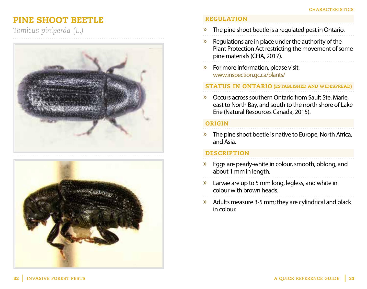# PINE SHOOT BEETLE

*Tomicus piniperda (L.)*





## REGULATION

- $\lambda$  The pine shoot beetle is a regulated pest in Ontario.
- » Regulations are in place under the authority of the Plant Protection Act restricting the movement of some pine materials (CFIA, 2017).
- » For more information, please visit: www.inspection.gc.ca/plants/

# STATUS IN ONTARIO (ESTABLISHED AND WIDESPREAD)

» Occurs across southern Ontario from Sault Ste. Marie, east to North Bay, and south to the north shore of Lake Erie (Natural Resources Canada, 2015).

# ORIGIN

» The pine shoot beetle is native to Europe, North Africa, and Asia.

- $\triangleright$  Eggs are pearly-white in colour, smooth, oblong, and about 1 mm in length.
- $\lambda$  Larvae are up to 5 mm long, legless, and white in colour with brown heads.
- » Adults measure 3-5 mm; they are cylindrical and black in colour.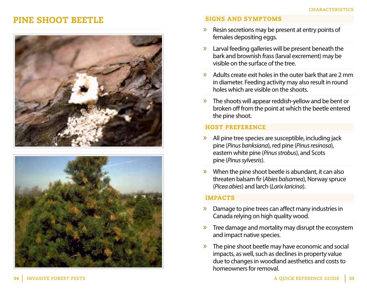# PINE SHOOT BEETLE





### SIGNS AND SYMPTOMS

- » Resin secretions may be present at entry points of females depositing eggs.
- » Larval feeding galleries will be present beneath the bark and brownish frass (larval excrement) may be visible on the surface of the tree.
- » Adults create exit holes in the outer bark that are 2 mm in diameter. Feeding activity may also result in round holes which are visible on the shoots.
- » The shoots will appear reddish-yellow and be bent or broken off from the point at which the beetle entered the pine shoot.

# HOST PREFERENCE

- » All pine tree species are susceptible, including jack pine (*Pinus banksiana*), red pine (*Pinus resinosa*), eastern white pine (*Pinus strobus*), and Scots pine (*Pinus sylvesris*).
- » When the pine shoot beetle is abundant, it can also threaten balsam fir (*Abies balsamea*), Norway spruce (*Picea abies*) and larch (*Larix laricina*).

- » Damage to pine trees can affect many industries in Canada relying on high quality wood.
- » Tree damage and mortality may disrupt the ecosystem and impact native species.
- The pine shoot beetle may have economic and social impacts, as well, such as declines in property value due to changes in woodland aesthetics and costs to homeowners for removal.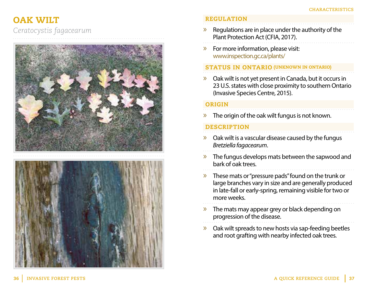# OAK WILT

*Ceratocystis fagacearum*





# REGULATION

- $\lambda$  Regulations are in place under the authority of the Plant Protection Act (CFIA, 2017).
- » For more information, please visit: www.inspection.gc.ca/plants/

# STATUS IN ONTARIO (UNKNOWN IN ONTARIO)

 $\lambda$  Oak wilt is not yet present in Canada, but it occurs in 23 U.S. states with close proximity to southern Ontario (Invasive Species Centre, 2015).

### ORIGIN

 $\lambda$  The origin of the oak wilt fungus is not known.

- » Oak wilt is a vascular disease caused by the fungus *Bretziella fagacearum*.
- » The fungus develops mats between the sapwood and bark of oak trees.
- » These mats or "pressure pads" found on the trunk or large branches vary in size and are generally produced in late-fall or early-spring, remaining visible for two or more weeks.
- » The mats may appear grey or black depending on progression of the disease.
- » Oak wilt spreads to new hosts via sap-feeding beetles and root grafting with nearby infected oak trees.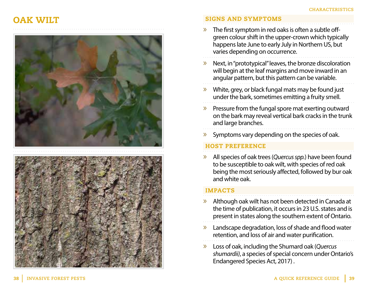# OAK WILT





## SIGNS AND SYMPTOMS

- The first symptom in red oaks is often a subtle offgreen colour shift in the upper-crown which typically happens late June to early July in Northern US, but varies depending on occurrence.
- » Next, in "prototypical" leaves, the bronze discoloration will begin at the leaf margins and move inward in an angular pattern, but this pattern can be variable.
- » White, grey, or black fungal mats may be found just under the bark, sometimes emitting a fruity smell.
- » Pressure from the fungal spore mat exerting outward on the bark may reveal vertical bark cracks in the trunk and large branches.
- » Symptoms vary depending on the species of oak.

# HOST PREFERENCE

» All species of oak trees (*Quercus spp.*) have been found to be susceptible to oak wilt, with species of red oak being the most seriously affected, followed by bur oak and white oak.

- » Although oak wilt has not been detected in Canada at the time of publication, it occurs in 23 U.S. states and is present in states along the southern extent of Ontario.
- » Landscape degradation, loss of shade and flood water retention, and loss of air and water purification.
- » Loss of oak, including the Shumard oak (*Quercus shumardii)*, a species of special concern under Ontario's Endangered Species Act, 2017) .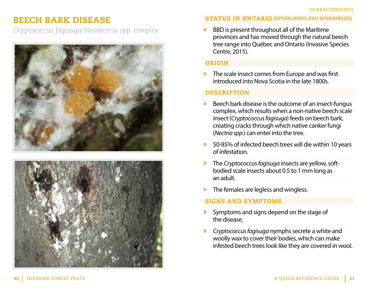# BEECH BARK DISEASE

*Cryptococcus fagisuga/Neonectria spp. complex*





### STATUS IN ONTARIO (ESTABLISHED AND WIDESPREAD)

» BBD is present throughout all of the Maritime provinces and has moved through the natural beech tree range into Québec and Ontario (Invasive Species Centre, 2015).

### ORIGIN

 $\triangleright$  The scale insect comes from Europe and was first introduced into Nova Scotia in the late 1800s.

### **DESCRIPTION**

- » Beech bark disease is the outcome of an insect-fungus complex, which results when a non-native beech scale insect (*Cryptococcus fagisuga*) feeds on beech bark, creating cracks through which native canker fungi (*Nectria spp.*) can enter into the tree.
- » 50-85% of infected beech trees will die within 10 years of infestation.
- » The *Cryptococcus fagisuga* insects are yellow, softbodied scale insects about 0.5 to 1 mm long as an adult.
- » The females are legless and wingless.

# SIGNS AND SYMPTOMS

- » Symptoms and signs depend on the stage of the disease.
- » *Cryptococcus fagisuga* nymphs secrete a white and woolly wax to cover their bodies, which can make infested beech trees look like they are covered in wool.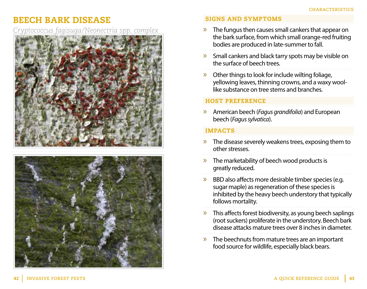# BEECH BARK DISEASE

*Cryptococcus fagisuga/Neonectria spp. complex*





# SIGNS AND SYMPTOMS

- $\lambda$  The fungus then causes small cankers that appear on the bark surface, from which small orange-red fruiting bodies are produced in late-summer to fall.
- » Small cankers and black tarry spots may be visible on the surface of beech trees.
- » Other things to look for include wilting foliage, yellowing leaves, thinning crowns, and a waxy woollike substance on tree stems and branches.

### HOST PREFERENCE

» American beech (*Fagus grandifolia*) and European beech (*Fagus sylvatica*).

- » The disease severely weakens trees, exposing them to other stresses.
- » The marketability of beech wood products is greatly reduced.
- » BBD also affects more desirable timber species (e.g. sugar maple) as regeneration of these species is inhibited by the heavy beech understory that typically follows mortality.
- » This affects forest biodiversity, as young beech saplings (root suckers) proliferate in the understory. Beech bark disease attacks mature trees over 8 inches in diameter.
- » The beechnuts from mature trees are an important food source for wildlife, especially black bears.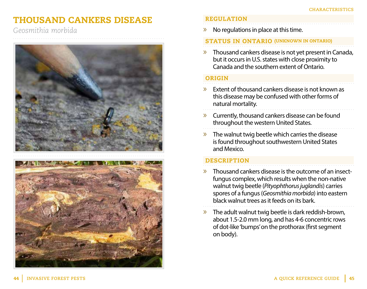# THOUSAND CANKERS DISEASE

*Geosmithia morbida*





### REGULATION

 $\triangleright$  No regulations in place at this time.

### STATUS IN ONTARIO (UNKNOWN IN ONTARIO)

» Thousand cankers disease is not yet present in Canada, but it occurs in U.S. states with close proximity to Canada and the southern extent of Ontario.

# ORIGIN

- » Extent of thousand cankers disease is not known as this disease may be confused with other forms of natural mortality.
- » Currently, thousand cankers disease can be found throughout the western United States.

» The walnut twig beetle which carries the disease is found throughout southwestern United States and Mexico.

- » Thousand cankers disease is the outcome of an insectfungus complex, which results when the non-native walnut twig beetle (*Pityophthorus juglandis*) carries spores of a fungus (*Geosmithia morbida*) into eastern black walnut trees as it feeds on its bark.
- » The adult walnut twig beetle is dark reddish-brown, about 1.5-2.0 mm long, and has 4-6 concentric rows of dot-like 'bumps' on the prothorax (first segment on body).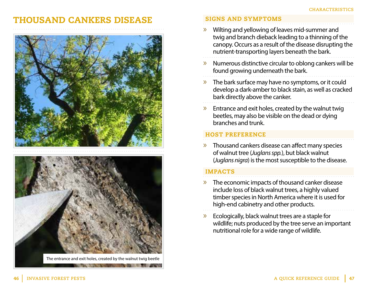# THOUSAND CANKERS DISEASE





The entrance and exit holes, created by the walnut twig beetle

**CONTRACTOR** AND IT WAS LIKED

### SIGNS AND SYMPTOMS

- » Wilting and yellowing of leaves mid-summer and twig and branch dieback leading to a thinning of the canopy. Occurs as a result of the disease disrupting the nutrient-transporting layers beneath the bark.
- » Numerous distinctive circular to oblong cankers will be found growing underneath the bark.
- » The bark surface may have no symptoms, or it could develop a dark-amber to black stain, as well as cracked bark directly above the canker.
- $\lambda$  Entrance and exit holes, created by the walnut twig beetles, may also be visible on the dead or dying branches and trunk.

### HOST PREFERENCE

» Thousand cankers disease can affect many species of walnut tree (*Juglans spp.*), but black walnut (*Juglans nigra*) is the most susceptible to the disease.

- » The economic impacts of thousand canker disease include loss of black walnut trees, a highly valued timber species in North America where it is used for high-end cabinetry and other products.
- » Ecologically, black walnut trees are a staple for wildlife; nuts produced by the tree serve an important nutritional role for a wide range of wildlife.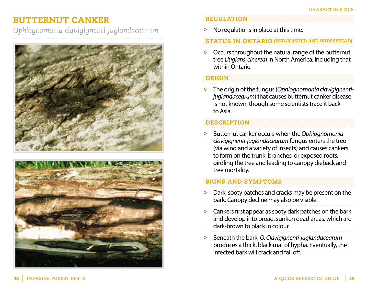# BUTTERNUT CANKER

*Ophiognomonia clavigignenti-juglandacearum*



# REGULATION

 $\gg$  No regulations in place at this time.

# STATUS IN ONTARIO (ESTABLISHED AND WIDESPREAD)

» Occurs throughout the natural range of the butternut tree (*Juglans cinerea*) in North America, including that within Ontario.

# ORIGIN

» The origin of the fungus (*Ophiognomonia clavigignentijuglandacearum*) that causes butternut canker disease is not known, though some scientists trace it back to Asia.

# **DESCRIPTION**

» Butternut canker occurs when the *Ophiognomonia clavigignenti-juglandacearum* fungus enters the tree (via wind and a variety of insects) and causes cankers to form on the trunk, branches, or exposed roots, girdling the tree and leading to canopy dieback and tree mortality.

# SIGNS AND SYMPTOMS

- Dark, sooty patches and cracks may be present on the bark. Canopy decline may also be visible.
- » Cankers first appear as sooty dark patches on the bark and develop into broad, sunken dead areas, which are dark-brown to black in colour.
- » Beneath the bark, *O. Clavigignenti-juglandacearum* produces a thick, black mat of hypha. Eventually, the infected bark will crack and fall off.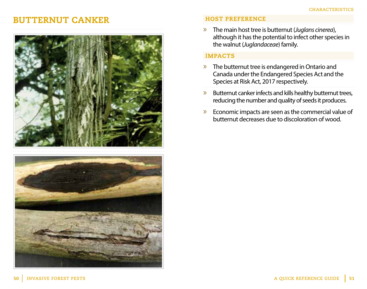# BUTTERNUT CANKER





### HOST PREFERENCE

» The main host tree is butternut (*Juglans cinerea*), although it has the potential to infect other species in the walnut (*Juglandaceae*) family.

- » The butternut tree is endangered in Ontario and Canada under the Endangered Species Act and the Species at Risk Act, 2017 respectively.
- » Butternut canker infects and kills healthy butternut trees, reducing the number and quality of seeds it produces.
- » Economic impacts are seen as the commercial value of butternut decreases due to discoloration of wood.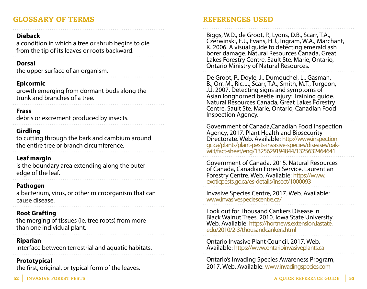# GLOSSARY OF TERMS

### **Dieback**

a condition in which a tree or shrub begins to die from the tip of its leaves or roots backward.

### **Dorsal**

the upper surface of an organism.

# **Epicormic**

growth emerging from dormant buds along the trunk and branches of a tree.

# **Frass**

debris or excrement produced by insects.

# **Girdling**

to cutting through the bark and cambium around the entire tree or branch circumference.

# **Leaf margin**

is the boundary area extending along the outer edge of the leaf.

# **Pathogen**

a bacterium, virus, or other microorganism that can cause disease.

# **Root Grafting**

the merging of tissues (ie. tree roots) from more than one individual plant.

# **Riparian**

interface between terrestrial and aquatic habitats.

# **Prototypical**

the first, original, or typical form of the leaves.

# REFERENCES USED

Biggs, W.D., de Groot, P., Lyons, D.B., Scarr, T.A., Czerwinski, E.J., Evans, H.J., Ingram, W.A., Marchant, K. 2006. A visual guide to detecting emerald ash borer damage. Natural Resources Canada, Great Lakes Forestry Centre, Sault Ste. Marie, Ontario, Ontario Ministry of Natural Resources.

De Groot, P., Doyle, J., Dumouchel, L., Gasman, B., Orr, M., Ric, J., Scarr, T.A., Smith, M.T., Turgeon, J.J. 2007. Detecting signs and symptoms of Asian longhorned beetle injury: Training guide. Natural Resources Canada, Great Lakes Forestry Centre, Sault Ste. Marie, Ontario, Canadian Food Inspection Agency.

Government of Canada,Canadian Food Inspection Agency, 2017. Plant Health and Biosecurity Directorate. Web. Available: http://www.inspection. gc.ca/plants/plant-pests-invasive-species/diseases/oakwilt/fact-sheet/eng/1325629194844/1325632464641

Government of Canada. 2015. Natural Resources of Canada, Canadian Forest Service, Laurentian Forestry Centre. Web. Available: https://www. exoticpests.gc.ca/es-details/insect/1000093

Invasive Species Centre, 2017. Web. Available: www.invasivespeciescentre.ca/

Look out for Thousand Cankers Disease in Black Walnut Trees. 2010. Iowa State University. Web. Available: https://hortnews.extension.iastate. edu/2010/2-3/thousandcankers.html

Ontario Invasive Plant Council, 2017. Web. Available: https://www.ontarioinvasiveplants.ca

Ontario's Invading Species Awareness Program, 2017. Web. Available: www.invadingspecies.com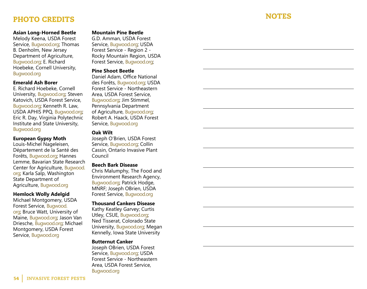# **NOTES**

# PHOTO CREDITS

### **Asian Long-Horned Beetle**

Melody Keena, USDA Forest Service, Bugwood.org; Thomas B. Denholm, New Jersey Department of Agriculture, Bugwood.org; E. Richard Hoebeke, Cornell University, Bugwood.org

#### **Emerald Ash Borer**

E. Richard Hoebeke, Cornell University, Bugwood.org; Steven Katovich, USDA Forest Service, Bugwood.org; Kenneth R. Law, USDA APHIS PPQ, Bugwood.org; Eric R. Day, Virginia Polytechnic Institute and State University, Bugwood.org

### **European Gypsy Moth**

Louis-Michel Nageleisen, Département de la Santé des Forêts, Bugwood.org; Hannes Lemme, Bavarian State Research Center for Agriculture, Bugwood. org; Karla Salp, Washington State Department of Agriculture, Bugwood.org

### **Hemlock Wolly Adelgid**

Michael Montgomery, USDA Forest Service, Bugwood. org; Bruce Watt, University of Maine, Bugwood.org; Jason Van Driesche, Bugwood.org; Michael Montgomery, USDA Forest Service, Bugwood.org

#### **Mountain Pine Beetle**

G.D. Amman, USDA Forest Service, Bugwood.org; USDA Forest Service - Region 2 - Rocky Mountain Region, USDA Forest Service, Bugwood.org;

### **Pine Shoot Beetle**

Daniel Adam, Office National des Forêts, Bugwood.org; USDA Forest Service - Northeastern Area, USDA Forest Service, Bugwood.org; Jim Stimmel, Pennsylvania Department of Agriculture, Bugwood.org; Robert A. Haack, USDA Forest Service, Bugwood.org

### **Oak Wilt**

Joseph O'Brien, USDA Forest Service, Bugwood.org; Collin Cassin, Ontario Invasive Plant Council

### **Beech Bark Disease**

Chris Malumphy, The Food and Environment Research Agency, Bugwood.org; Patrick Hodge, MNRF; Joseph OBrien, USDA Forest Service, Bugwood.org

### **Thousand Cankers Disease**

Kathy Keatley Garvey; Curtis Utley, CSUE, Bugwood.org; Ned Tisserat, Colorado State University, Bugwood.org; Megan Kennelly, Iowa State University

### **Butternut Canker**

Joseph OBrien, USDA Forest Service, Bugwood.org; USDA Forest Service - Northeastern Area, USDA Forest Service, Bugwood.org